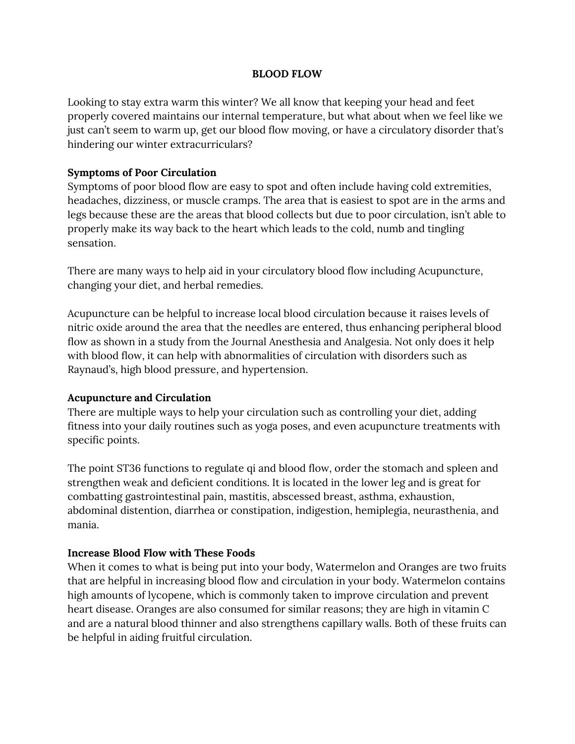## **BLOOD FLOW**

Looking to stay extra warm this winter? We all know that keeping your head and feet properly covered maintains our internal temperature, but what about when we feel like we just can't seem to warm up, get our blood flow moving, or have a circulatory disorder that's hindering our winter extracurriculars?

## **Symptoms of Poor Circulation**

Symptoms of poor blood flow are easy to spot and often include having cold extremities, headaches, dizziness, or muscle cramps. The area that is easiest to spot are in the arms and legs because these are the areas that blood collects but due to poor circulation, isn't able to properly make its way back to the heart which leads to the cold, numb and tingling sensation.

There are many ways to help aid in your circulatory blood flow including Acupuncture, changing your diet, and herbal remedies.

Acupuncture can be helpful to increase local blood circulation because it raises levels of nitric oxide around the area that the needles are entered, thus enhancing peripheral blood flow as shown in a study from the Journal Anesthesia and Analgesia. Not only does it help with blood flow, it can help with abnormalities of circulation with disorders such as Raynaud's, high blood pressure, and hypertension.

## **Acupuncture and Circulation**

There are multiple ways to help your circulation such as controlling your diet, adding fitness into your daily routines such as yoga poses, and even acupuncture treatments with specific points.

The point ST36 functions to regulate qi and blood flow, order the stomach and spleen and strengthen weak and deficient conditions. It is located in the lower leg and is great for combatting gastrointestinal pain, mastitis, abscessed breast, asthma, exhaustion, abdominal distention, diarrhea or constipation, indigestion, hemiplegia, neurasthenia, and mania.

## **Increase Blood Flow with These Foods**

When it comes to what is being put into your body, Watermelon and Oranges are two fruits that are helpful in increasing blood flow and circulation in your body. Watermelon contains high amounts of lycopene, which is commonly taken to improve circulation and prevent heart disease. Oranges are also consumed for similar reasons; they are high in vitamin C and are a natural blood thinner and also strengthens capillary walls. Both of these fruits can be helpful in aiding fruitful circulation.